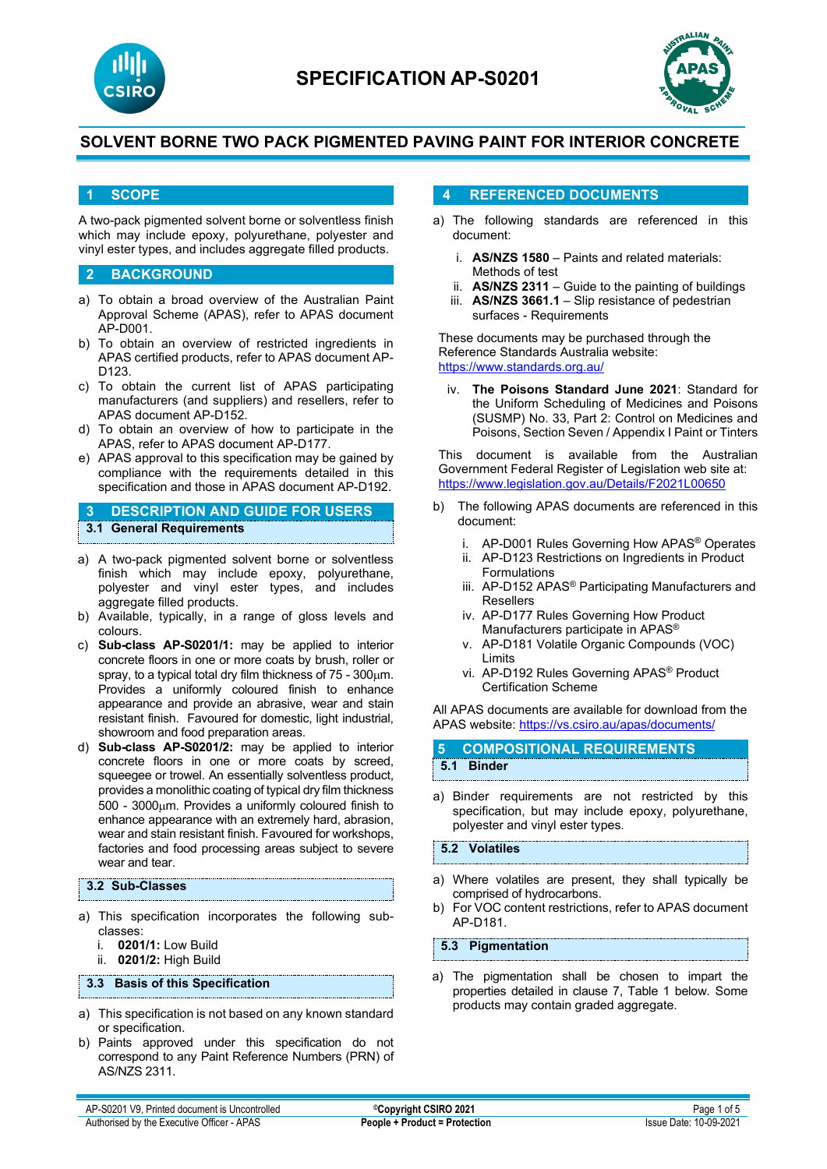



#### **1 SCOPE**

A two-pack pigmented solvent borne or solventless finish which may include epoxy, polyurethane, polyester and vinyl ester types, and includes aggregate filled products.

#### **2 BACKGROUND**

- a) To obtain a broad overview of the Australian Paint Approval Scheme (APAS), refer to APAS document AP-D001.
- b) To obtain an overview of restricted ingredients in APAS certified products, refer to APAS document AP-D123.
- c) To obtain the current list of APAS participating manufacturers (and suppliers) and resellers, refer to APAS document AP-D152.
- d) To obtain an overview of how to participate in the APAS, refer to APAS document AP-D177.
- e) APAS approval to this specification may be gained by compliance with the requirements detailed in this specification and those in APAS document AP-D192.

**3 DESCRIPTION AND GUIDE FOR USERS 3.1 General Requirements**

- a) A two-pack pigmented solvent borne or solventless finish which may include epoxy, polyurethane, polyester and vinyl ester types, and includes aggregate filled products.
- b) Available, typically, in a range of gloss levels and colours.
- c) **Sub-class AP-S0201/1:** may be applied to interior concrete floors in one or more coats by brush, roller or spray, to a typical total dry film thickness of 75 - 300µm. Provides a uniformly coloured finish to enhance appearance and provide an abrasive, wear and stain resistant finish. Favoured for domestic, light industrial, showroom and food preparation areas.
- d) **Sub-class AP-S0201/2:** may be applied to interior concrete floors in one or more coats by screed, squeegee or trowel. An essentially solventless product, provides a monolithic coating of typical dry film thickness 500 - 3000µm. Provides a uniformly coloured finish to enhance appearance with an extremely hard, abrasion, wear and stain resistant finish. Favoured for workshops, factories and food processing areas subject to severe wear and tear.

#### **3.2 Sub-Classes**

- a) This specification incorporates the following subclasses:
	- **0201/1:** Low Build
	- ii. **0201/2:** High Build

**3.3 Basis of this Specification**

- a) This specification is not based on any known standard or specification.
- b) Paints approved under this specification do not correspond to any Paint Reference Numbers (PRN) of AS/NZS 2311.

#### **4 REFERENCED DOCUMENTS**

- a) The following standards are referenced in this document:
	- i. **AS/NZS 1580** Paints and related materials: Methods of test
	- ii. **AS/NZS 2311**  Guide to the painting of buildings
	- iii. **AS/NZS 3661.1** Slip resistance of pedestrian surfaces - Requirements

These documents may be purchased through the Reference Standards Australia website: <https://www.standards.org.au/>

iv. **The Poisons Standard June 2021**: Standard for the Uniform Scheduling of Medicines and Poisons (SUSMP) No. 33, Part 2: Control on Medicines and Poisons, Section Seven / Appendix I Paint or Tinters

This document is available from the Australian Government Federal Register of Legislation web site at: <https://www.legislation.gov.au/Details/F2021L00650>

- b) The following APAS documents are referenced in this document:
	- i. AP-D001 Rules Governing How APAS® Operates
	- ii. AP-D123 Restrictions on Ingredients in Product Formulations
	- iii. AP-D152 APAS® Participating Manufacturers and Resellers
	- iv. AP-D177 Rules Governing How Product Manufacturers participate in APAS®
	- v. AP-D181 Volatile Organic Compounds (VOC) Limits
	- vi. AP-D192 Rules Governing APAS® Product Certification Scheme

All APAS documents are available for download from the APAS website: <https://vs.csiro.au/apas/documents/>

| <b>5 COMPOSITIONAL REQUIREMENTS</b> |
|-------------------------------------|
| 5.1 Binder                          |
|                                     |

a) Binder requirements are not restricted by this specification, but may include epoxy, polyurethane, polyester and vinyl ester types.

**5.2 Volatiles**

- a) Where volatiles are present, they shall typically be comprised of hydrocarbons.
- b) For VOC content restrictions, refer to APAS document AP-D181.

**5.3 Pigmentation**

a) The pigmentation shall be chosen to impart the properties detailed in clause 7, Table 1 below. Some products may contain graded aggregate.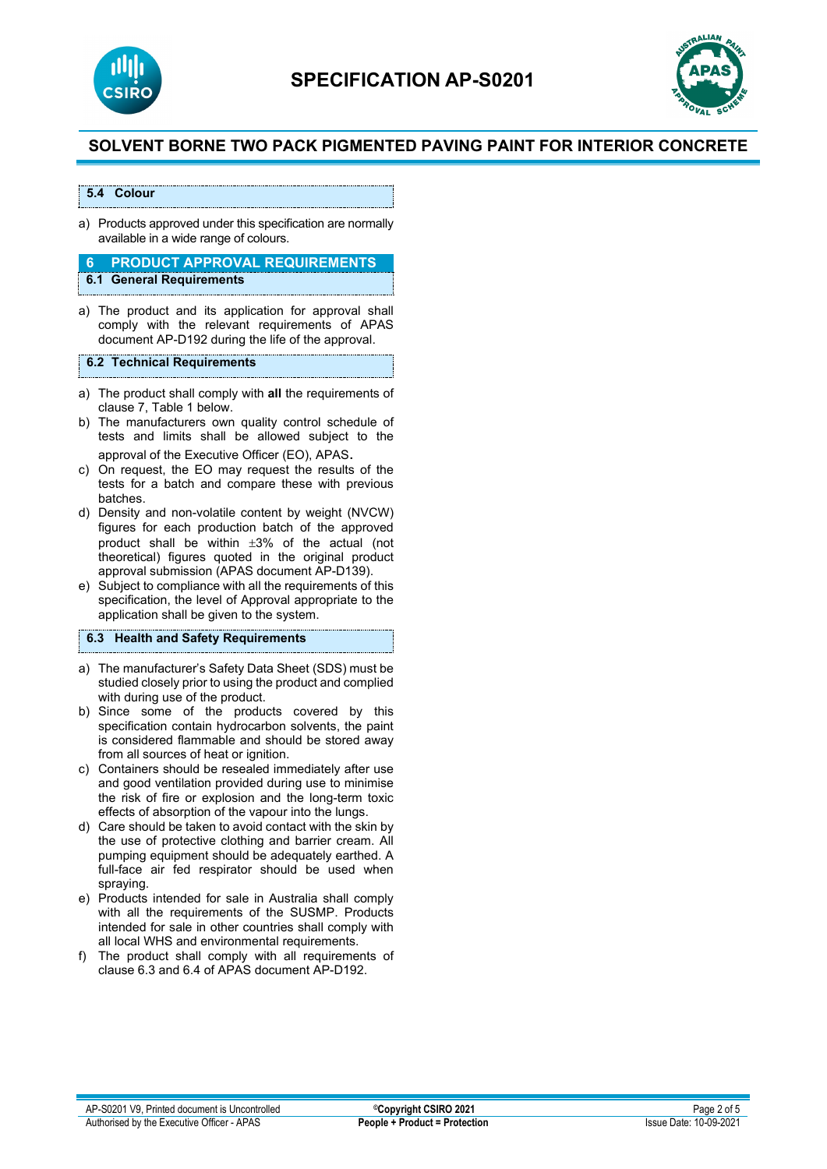



#### **5.4 Colour**

a) Products approved under this specification are normally available in a wide range of colours.

# **6 PRODUCT APPROVAL REQUIREMENTS**

- **6.1 General Requirements**
- a) The product and its application for approval shall comply with the relevant requirements of APAS document AP-D192 during the life of the approval.

#### **6.2 Technical Requirements**

- a) The product shall comply with **all** the requirements of clause 7, Table 1 below.
- b) The manufacturers own quality control schedule of tests and limits shall be allowed subject to the approval of the Executive Officer (EO), APAS.
- c) On request, the EO may request the results of the tests for a batch and compare these with previous batches.
- d) Density and non-volatile content by weight (NVCW) figures for each production batch of the approved product shall be within ±3% of the actual (not theoretical) figures quoted in the original product approval submission (APAS document AP-D139).
- e) Subject to compliance with all the requirements of this specification, the level of Approval appropriate to the application shall be given to the system.

### **6.3 Health and Safety Requirements**

- a) The manufacturer's Safety Data Sheet (SDS) must be studied closely prior to using the product and complied with during use of the product.
- b) Since some of the products covered by this specification contain hydrocarbon solvents, the paint is considered flammable and should be stored away from all sources of heat or ignition.
- c) Containers should be resealed immediately after use and good ventilation provided during use to minimise the risk of fire or explosion and the long-term toxic effects of absorption of the vapour into the lungs.
- d) Care should be taken to avoid contact with the skin by the use of protective clothing and barrier cream. All pumping equipment should be adequately earthed. A full-face air fed respirator should be used when spraying.
- e) Products intended for sale in Australia shall comply with all the requirements of the SUSMP. Products intended for sale in other countries shall comply with all local WHS and environmental requirements.
- f) The product shall comply with all requirements of clause 6.3 and 6.4 of APAS document AP-D192.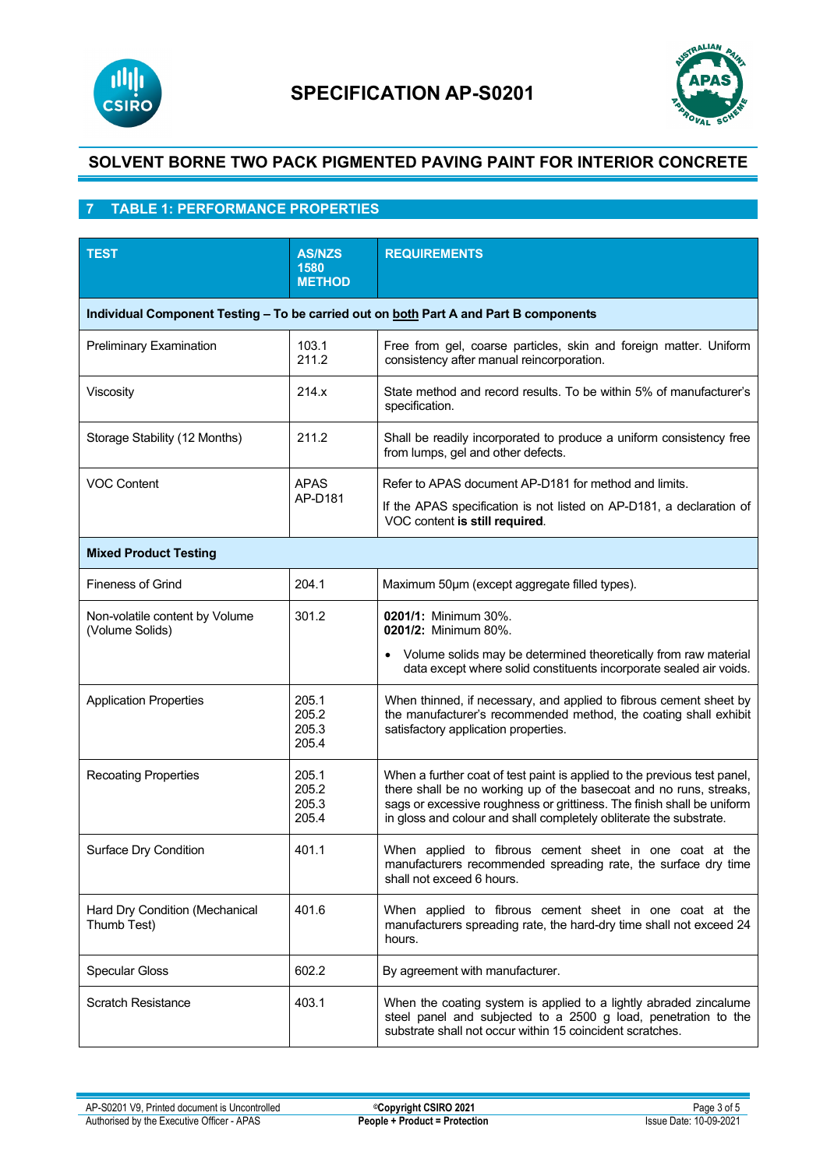



# **7 TABLE 1: PERFORMANCE PROPERTIES**

| <b>TEST</b>                                                                           | <b>AS/NZS</b><br>1580<br><b>METHOD</b> | <b>REQUIREMENTS</b>                                                                                                                                                                                                                                                                            |  |  |  |  |
|---------------------------------------------------------------------------------------|----------------------------------------|------------------------------------------------------------------------------------------------------------------------------------------------------------------------------------------------------------------------------------------------------------------------------------------------|--|--|--|--|
| Individual Component Testing - To be carried out on both Part A and Part B components |                                        |                                                                                                                                                                                                                                                                                                |  |  |  |  |
| <b>Preliminary Examination</b>                                                        | 103.1<br>211.2                         | Free from gel, coarse particles, skin and foreign matter. Uniform<br>consistency after manual reincorporation.                                                                                                                                                                                 |  |  |  |  |
| Viscosity                                                                             | 214.x                                  | State method and record results. To be within 5% of manufacturer's<br>specification.                                                                                                                                                                                                           |  |  |  |  |
| Storage Stability (12 Months)                                                         | 211.2                                  | Shall be readily incorporated to produce a uniform consistency free<br>from lumps, gel and other defects.                                                                                                                                                                                      |  |  |  |  |
| <b>VOC Content</b>                                                                    | <b>APAS</b><br>AP-D181                 | Refer to APAS document AP-D181 for method and limits.<br>If the APAS specification is not listed on AP-D181, a declaration of<br>VOC content is still required.                                                                                                                                |  |  |  |  |
| <b>Mixed Product Testing</b>                                                          |                                        |                                                                                                                                                                                                                                                                                                |  |  |  |  |
| <b>Fineness of Grind</b>                                                              | 204.1                                  | Maximum 50um (except aggregate filled types).                                                                                                                                                                                                                                                  |  |  |  |  |
| Non-volatile content by Volume<br>(Volume Solids)                                     | 301.2                                  | 0201/1: Minimum 30%.<br>0201/2: Minimum 80%.<br>Volume solids may be determined theoretically from raw material<br>data except where solid constituents incorporate sealed air voids.                                                                                                          |  |  |  |  |
| <b>Application Properties</b>                                                         | 205.1<br>205.2<br>205.3<br>205.4       | When thinned, if necessary, and applied to fibrous cement sheet by<br>the manufacturer's recommended method, the coating shall exhibit<br>satisfactory application properties.                                                                                                                 |  |  |  |  |
| <b>Recoating Properties</b>                                                           | 205.1<br>205.2<br>205.3<br>205.4       | When a further coat of test paint is applied to the previous test panel,<br>there shall be no working up of the basecoat and no runs, streaks,<br>sags or excessive roughness or grittiness. The finish shall be uniform<br>in gloss and colour and shall completely obliterate the substrate. |  |  |  |  |
| Surface Dry Condition                                                                 | 401.1                                  | When applied to fibrous cement sheet in one coat at the<br>manufacturers recommended spreading rate, the surface dry time<br>shall not exceed 6 hours.                                                                                                                                         |  |  |  |  |
| Hard Dry Condition (Mechanical<br>Thumb Test)                                         | 401.6                                  | When applied to fibrous cement sheet in one coat at the<br>manufacturers spreading rate, the hard-dry time shall not exceed 24<br>hours.                                                                                                                                                       |  |  |  |  |
| <b>Specular Gloss</b>                                                                 | 602.2                                  | By agreement with manufacturer.                                                                                                                                                                                                                                                                |  |  |  |  |
| <b>Scratch Resistance</b>                                                             | 403.1                                  | When the coating system is applied to a lightly abraded zincalume<br>steel panel and subjected to a 2500 g load, penetration to the<br>substrate shall not occur within 15 coincident scratches.                                                                                               |  |  |  |  |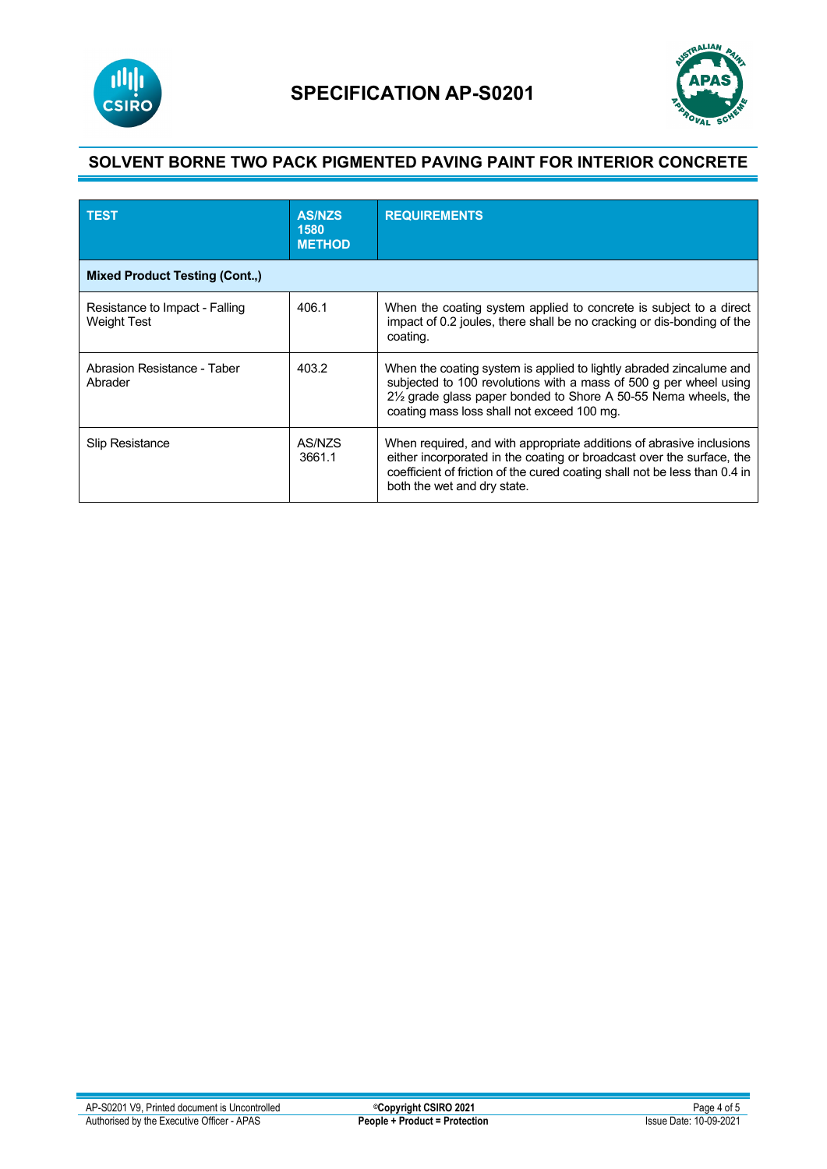



| <b>TEST</b>                                          | <b>AS/NZS</b><br>1580<br><b>METHOD</b> | <b>REQUIREMENTS</b>                                                                                                                                                                                                                                        |  |  |  |
|------------------------------------------------------|----------------------------------------|------------------------------------------------------------------------------------------------------------------------------------------------------------------------------------------------------------------------------------------------------------|--|--|--|
| <b>Mixed Product Testing (Cont.,)</b>                |                                        |                                                                                                                                                                                                                                                            |  |  |  |
| Resistance to Impact - Falling<br><b>Weight Test</b> | 406.1                                  | When the coating system applied to concrete is subject to a direct<br>impact of 0.2 joules, there shall be no cracking or dis-bonding of the<br>coating.                                                                                                   |  |  |  |
| Abrasion Resistance - Taber<br>Abrader               | 403.2                                  | When the coating system is applied to lightly abraded zincalume and<br>subjected to 100 revolutions with a mass of 500 g per wheel using<br>21/2 grade glass paper bonded to Shore A 50-55 Nema wheels, the<br>coating mass loss shall not exceed 100 mg.  |  |  |  |
| <b>Slip Resistance</b>                               | AS/NZS<br>3661.1                       | When required, and with appropriate additions of abrasive inclusions<br>either incorporated in the coating or broadcast over the surface, the<br>coefficient of friction of the cured coating shall not be less than 0.4 in<br>both the wet and dry state. |  |  |  |